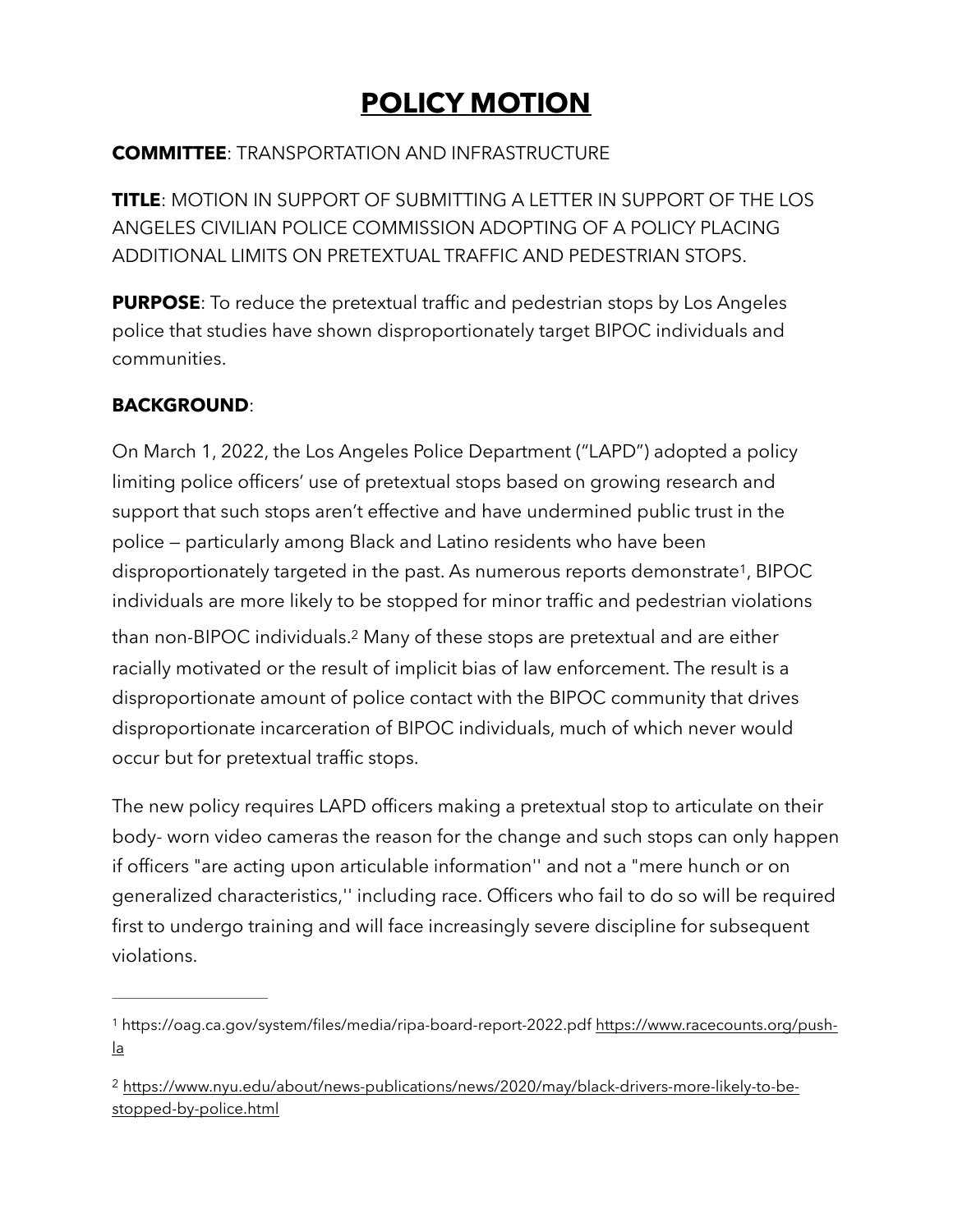# <span id="page-0-2"></span>**POLICY MOTION**

## **COMMITTEE**: TRANSPORTATION AND INFRASTRUCTURE

**TITLE**: MOTION IN SUPPORT OF SUBMITTING A LETTER IN SUPPORT OF THE LOS ANGELES CIVILIAN POLICE COMMISSION ADOPTING OF A POLICY PLACING ADDITIONAL LIMITS ON PRETEXTUAL TRAFFIC AND PEDESTRIAN STOPS.

**PURPOSE:** To reduce the pretextual traffic and pedestrian stops by Los Angeles police that studies have shown disproportionately target BIPOC individuals and communities.

## **BACKGROUND**:

On March 1, 2022, the Los Angeles Police Department ("LAPD") adopted a policy limiting police officers' use of pretextual stops based on growing research and support that such stops aren't effective and have undermined public trust in the police — particularly among Black and Latino residents who have been disproportionately targeted in the past. As numerous reports demonstrate<sup>1</sup>[,](#page-0-0) BIPOC individuals are more likely to be stopped for minor traffic and pedestrian violations than non-BIPOC individuals.<sup>[2](#page-0-1)</sup> Many of these stops are pretextual and are either racially motivated or the result of implicit bias of law enforcement. The result is a disproportionate amount of police contact with the BIPOC community that drives disproportionate incarceration of BIPOC individuals, much of which never would occur but for pretextual traffic stops.

<span id="page-0-3"></span>The new policy requires LAPD officers making a pretextual stop to articulate on their body- worn video cameras the reason for the change and such stops can only happen if officers "are acting upon articulable information'' and not a "mere hunch or on generalized characteristics,'' including race. Officers who fail to do so will be required first to undergo training and will face increasingly severe discipline for subsequent violations.

<span id="page-0-0"></span><sup>1</sup> https://oag.ca.gov/system/files/media/ripa-board-report-2022.pdf [https://www.racecounts.org/push](https://www.racecounts.org/push-la) [la](https://www.racecounts.org/push-la)

<span id="page-0-1"></span><sup>&</sup>lt;sup>2</sup> [https://www.nyu.edu/about/news-publications/news/2020/may/black-drivers-more-likely-to-be](https://www.nyu.edu/about/news-publications/news/2020/may/black-drivers-more-likely-to-be-stopped-by-police.html) [stopped-by-police.html](https://www.nyu.edu/about/news-publications/news/2020/may/black-drivers-more-likely-to-be-stopped-by-police.html)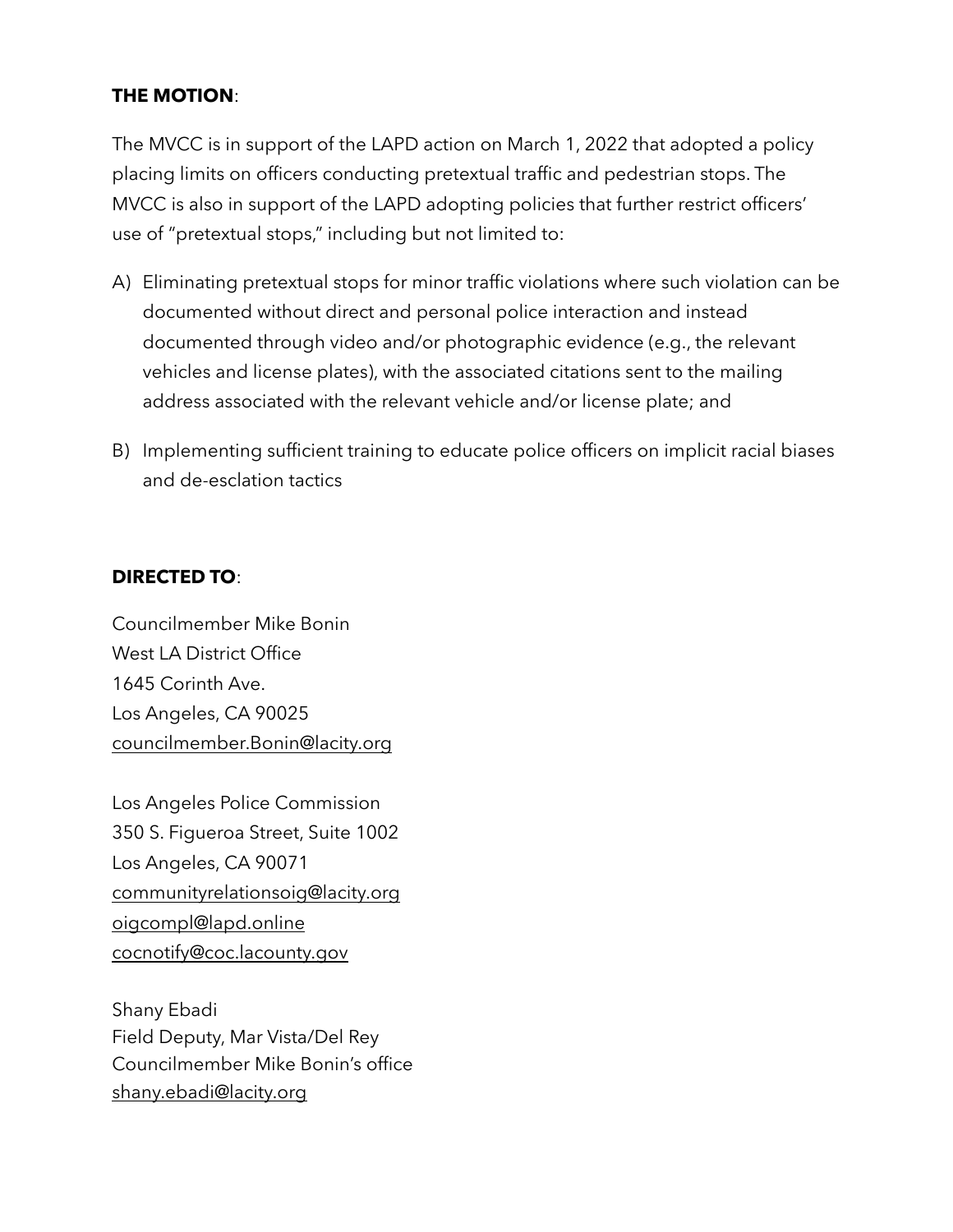#### **THE MOTION**:

The MVCC is in support of the LAPD action on March 1, 2022 that adopted a policy placing limits on officers conducting pretextual traffic and pedestrian stops. The MVCC is also in support of the LAPD adopting policies that further restrict officers' use of "pretextual stops," including but not limited to:

- A) Eliminating pretextual stops for minor traffic violations where such violation can be documented without direct and personal police interaction and instead documented through video and/or photographic evidence (e.g., the relevant vehicles and license plates), with the associated citations sent to the mailing address associated with the relevant vehicle and/or license plate; and
- B) Implementing sufficient training to educate police officers on implicit racial biases and de-esclation tactics

### **DIRECTED TO**:

Councilmember Mike Bonin West LA District Office 1645 Corinth Ave. Los Angeles, CA 90025 [councilmember.Bonin@lacity.org](mailto:councilmember.Bonin@lacity.org)

Los Angeles Police Commission 350 S. Figueroa Street, Suite 1002 Los Angeles, CA 90071 [communityrelationsoig@lacity.org](mailto:communityrelationsoig@lacity.org) [oigcompl@lapd.online](mailto:oigcompl@lapd.online) [cocnotify@coc.lacounty.gov](mailto:cocnotify@coc.lacounty.gov) 

Shany Ebadi Field Deputy, Mar Vista/Del Rey Councilmember Mike Bonin's office [shany.ebadi@lacity.org](mailto:shany.ebadi@lacity.org)